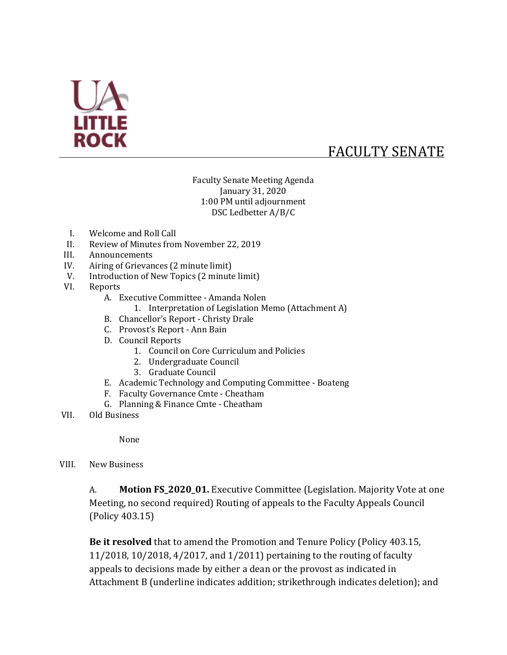

# FACULTY SENATE

Faculty Senate Meeting Agenda January 31, 2020 1:00 PM until adjournment DSC Ledbetter A/B/C

- I. Welcome and Roll Call
- II. Review of Minutes from November 22, 2019
- III. Announcements
- IV. Airing of Grievances (2 minute limit)
- V. Introduction of New Topics (2 minute limit)
- VI. Reports
	- A. Executive Committee Amanda Nolen
		- 1. Interpretation of Legislation Memo (Attachment A)
	- B. Chancellor's Report Christy Drale
	- C. Provost's Report Ann Bain
	- D. Council Reports
		- 1. Council on Core Curriculum and Policies
		- 2. Undergraduate Council
		- 3. Graduate Council
	- E. Academic Technology and Computing Committee Boateng
	- F. Faculty Governance Cmte Cheatham
	- G. Planning & Finance Cmte Cheatham
- VII. Old Business

None

VIII. New Business

A. **Motion FS\_2020\_01.** Executive Committee (Legislation. Majority Vote at one Meeting, no second required) Routing of appeals to the Faculty Appeals Council (Policy 403.15)

**Be it resolved** that to amend the Promotion and Tenure Policy (Policy 403.15, 11/2018, 10/2018, 4/2017, and 1/2011) pertaining to the routing of faculty appeals to decisions made by either a dean or the provost as indicated in Attachment B (underline indicates addition; strikethrough indicates deletion); and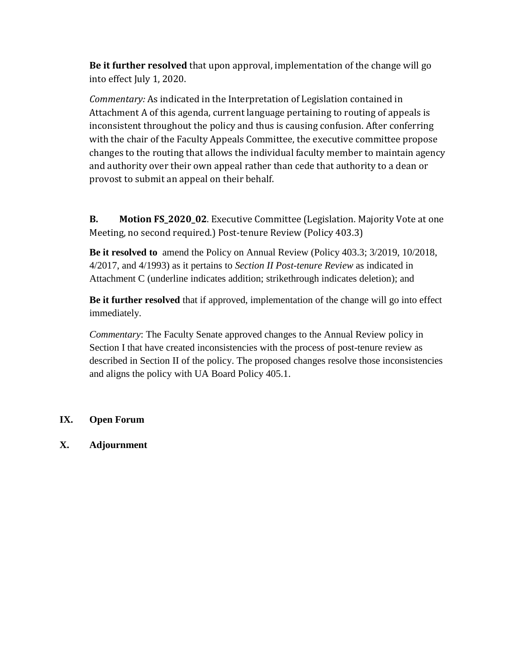**Be it further resolved** that upon approval, implementation of the change will go into effect July 1, 2020.

*Commentary:* As indicated in the Interpretation of Legislation contained in Attachment A of this agenda, current language pertaining to routing of appeals is inconsistent throughout the policy and thus is causing confusion. After conferring with the chair of the Faculty Appeals Committee, the executive committee propose changes to the routing that allows the individual faculty member to maintain agency and authority over their own appeal rather than cede that authority to a dean or provost to submit an appeal on their behalf.

**B. Motion FS\_2020\_02**. Executive Committee (Legislation. Majority Vote at one Meeting, no second required.) Post-tenure Review (Policy 403.3)

**Be it resolved to** amend the Policy on Annual Review (Policy 403.3; 3/2019, 10/2018, 4/2017, and 4/1993) as it pertains to *Section II Post-tenure Review* as indicated in Attachment C (underline indicates addition; strikethrough indicates deletion); and

**Be it further resolved** that if approved, implementation of the change will go into effect immediately.

*Commentary*: The Faculty Senate approved changes to the Annual Review policy in Section I that have created inconsistencies with the process of post-tenure review as described in Section II of the policy. The proposed changes resolve those inconsistencies and aligns the policy with UA Board Policy 405.1.

#### **IX. Open Forum**

**X. Adjournment**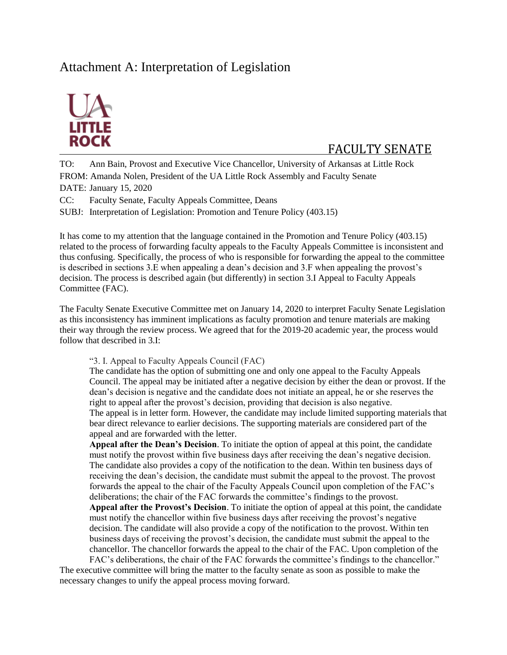# Attachment A: Interpretation of Legislation



## FACULTY SENATE

TO: Ann Bain, Provost and Executive Vice Chancellor, University of Arkansas at Little Rock FROM: Amanda Nolen, President of the UA Little Rock Assembly and Faculty Senate DATE: January 15, 2020

CC: Faculty Senate, Faculty Appeals Committee, Deans

SUBJ: Interpretation of Legislation: Promotion and Tenure Policy (403.15)

It has come to my attention that the language contained in the Promotion and Tenure Policy (403.15) related to the process of forwarding faculty appeals to the Faculty Appeals Committee is inconsistent and thus confusing. Specifically, the process of who is responsible for forwarding the appeal to the committee is described in sections 3.E when appealing a dean's decision and 3.F when appealing the provost's decision. The process is described again (but differently) in section 3.I Appeal to Faculty Appeals Committee (FAC).

The Faculty Senate Executive Committee met on January 14, 2020 to interpret Faculty Senate Legislation as this inconsistency has imminent implications as faculty promotion and tenure materials are making their way through the review process. We agreed that for the 2019-20 academic year, the process would follow that described in 3.I:

"3. I. Appeal to Faculty Appeals Council (FAC)

The candidate has the option of submitting one and only one appeal to the Faculty Appeals Council. The appeal may be initiated after a negative decision by either the dean or provost. If the dean's decision is negative and the candidate does not initiate an appeal, he or she reserves the right to appeal after the provost's decision, providing that decision is also negative. The appeal is in letter form. However, the candidate may include limited supporting materials that bear direct relevance to earlier decisions. The supporting materials are considered part of the appeal and are forwarded with the letter.

**Appeal after the Dean's Decision**. To initiate the option of appeal at this point, the candidate must notify the provost within five business days after receiving the dean's negative decision. The candidate also provides a copy of the notification to the dean. Within ten business days of receiving the dean's decision, the candidate must submit the appeal to the provost. The provost forwards the appeal to the chair of the Faculty Appeals Council upon completion of the FAC's deliberations; the chair of the FAC forwards the committee's findings to the provost. **Appeal after the Provost's Decision**. To initiate the option of appeal at this point, the candidate

must notify the chancellor within five business days after receiving the provost's negative decision. The candidate will also provide a copy of the notification to the provost. Within ten business days of receiving the provost's decision, the candidate must submit the appeal to the chancellor. The chancellor forwards the appeal to the chair of the FAC. Upon completion of the

FAC's deliberations, the chair of the FAC forwards the committee's findings to the chancellor." The executive committee will bring the matter to the faculty senate as soon as possible to make the necessary changes to unify the appeal process moving forward.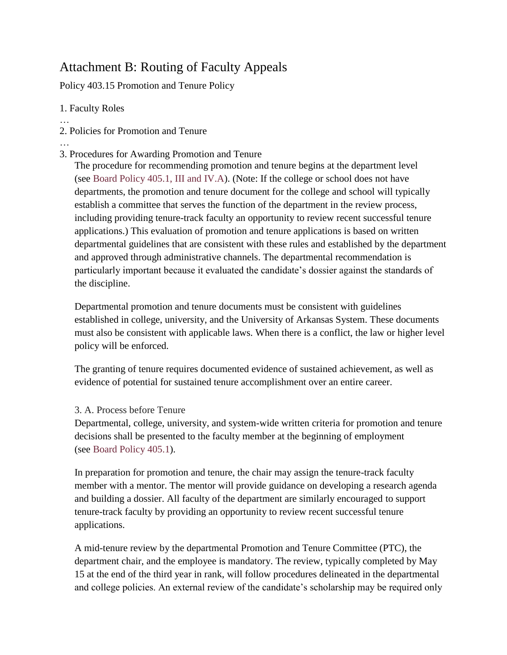# Attachment B: Routing of Faculty Appeals

Policy 403.15 Promotion and Tenure Policy

### 1. Faculty Roles

- … 2. Policies for Promotion and Tenure
- …
- 3. Procedures for Awarding Promotion and Tenure

The procedure for recommending promotion and tenure begins at the department level (see [Board Policy 405.1, III and IV.A\)](http://www.uasys.edu/policies/405.1.PDF). (Note: If the college or school does not have departments, the promotion and tenure document for the college and school will typically establish a committee that serves the function of the department in the review process, including providing tenure-track faculty an opportunity to review recent successful tenure applications.) This evaluation of promotion and tenure applications is based on written departmental guidelines that are consistent with these rules and established by the department and approved through administrative channels. The departmental recommendation is particularly important because it evaluated the candidate's dossier against the standards of the discipline.

Departmental promotion and tenure documents must be consistent with guidelines established in college, university, and the University of Arkansas System. These documents must also be consistent with applicable laws. When there is a conflict, the law or higher level policy will be enforced.

The granting of tenure requires documented evidence of sustained achievement, as well as evidence of potential for sustained tenure accomplishment over an entire career.

## 3. A. Process before Tenure

Departmental, college, university, and system-wide written criteria for promotion and tenure decisions shall be presented to the faculty member at the beginning of employment (see [Board Policy 405.1\)](http://www.uasys.edu/policies/405.1.PDF).

In preparation for promotion and tenure, the chair may assign the tenure-track faculty member with a mentor. The mentor will provide guidance on developing a research agenda and building a dossier. All faculty of the department are similarly encouraged to support tenure-track faculty by providing an opportunity to review recent successful tenure applications.

A mid-tenure review by the departmental Promotion and Tenure Committee (PTC), the department chair, and the employee is mandatory. The review, typically completed by May 15 at the end of the third year in rank, will follow procedures delineated in the departmental and college policies. An external review of the candidate's scholarship may be required only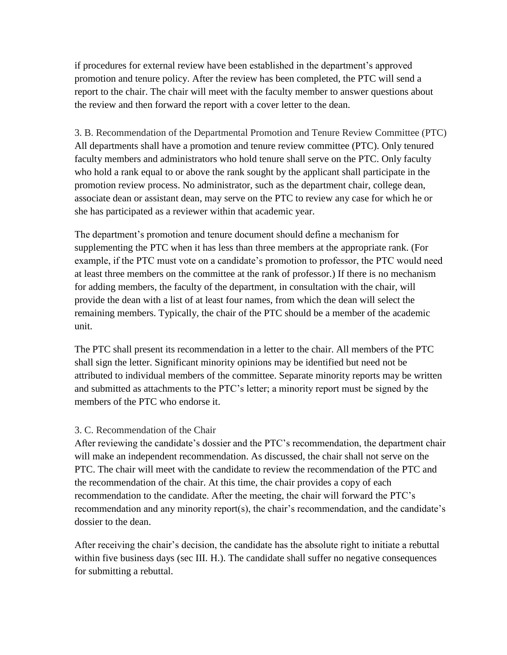if procedures for external review have been established in the department's approved promotion and tenure policy. After the review has been completed, the PTC will send a report to the chair. The chair will meet with the faculty member to answer questions about the review and then forward the report with a cover letter to the dean.

3. B. Recommendation of the Departmental Promotion and Tenure Review Committee (PTC) All departments shall have a promotion and tenure review committee (PTC). Only tenured faculty members and administrators who hold tenure shall serve on the PTC. Only faculty who hold a rank equal to or above the rank sought by the applicant shall participate in the promotion review process. No administrator, such as the department chair, college dean, associate dean or assistant dean, may serve on the PTC to review any case for which he or she has participated as a reviewer within that academic year.

The department's promotion and tenure document should define a mechanism for supplementing the PTC when it has less than three members at the appropriate rank. (For example, if the PTC must vote on a candidate's promotion to professor, the PTC would need at least three members on the committee at the rank of professor.) If there is no mechanism for adding members, the faculty of the department, in consultation with the chair, will provide the dean with a list of at least four names, from which the dean will select the remaining members. Typically, the chair of the PTC should be a member of the academic unit.

The PTC shall present its recommendation in a letter to the chair. All members of the PTC shall sign the letter. Significant minority opinions may be identified but need not be attributed to individual members of the committee. Separate minority reports may be written and submitted as attachments to the PTC's letter; a minority report must be signed by the members of the PTC who endorse it.

#### 3. C. Recommendation of the Chair

After reviewing the candidate's dossier and the PTC's recommendation, the department chair will make an independent recommendation. As discussed, the chair shall not serve on the PTC. The chair will meet with the candidate to review the recommendation of the PTC and the recommendation of the chair. At this time, the chair provides a copy of each recommendation to the candidate. After the meeting, the chair will forward the PTC's recommendation and any minority report(s), the chair's recommendation, and the candidate's dossier to the dean.

After receiving the chair's decision, the candidate has the absolute right to initiate a rebuttal within five business days (sec III. H.). The candidate shall suffer no negative consequences for submitting a rebuttal.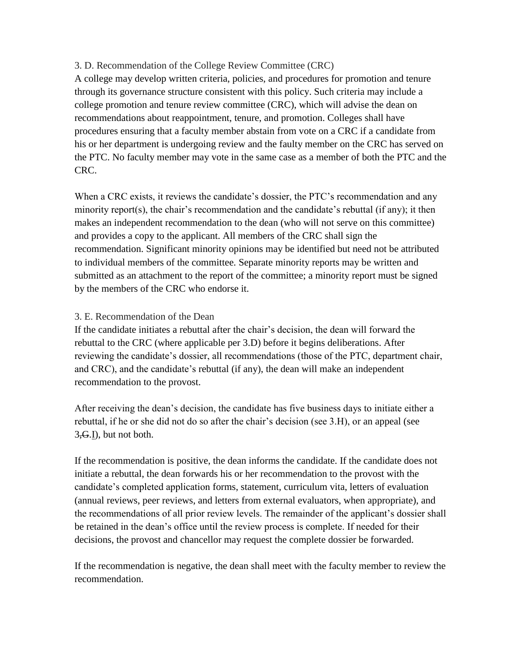#### 3. D. Recommendation of the College Review Committee (CRC)

A college may develop written criteria, policies, and procedures for promotion and tenure through its governance structure consistent with this policy. Such criteria may include a college promotion and tenure review committee (CRC), which will advise the dean on recommendations about reappointment, tenure, and promotion. Colleges shall have procedures ensuring that a faculty member abstain from vote on a CRC if a candidate from his or her department is undergoing review and the faulty member on the CRC has served on the PTC. No faculty member may vote in the same case as a member of both the PTC and the CRC.

When a CRC exists, it reviews the candidate's dossier, the PTC's recommendation and any minority report(s), the chair's recommendation and the candidate's rebuttal (if any); it then makes an independent recommendation to the dean (who will not serve on this committee) and provides a copy to the applicant. All members of the CRC shall sign the recommendation. Significant minority opinions may be identified but need not be attributed to individual members of the committee. Separate minority reports may be written and submitted as an attachment to the report of the committee; a minority report must be signed by the members of the CRC who endorse it.

#### 3. E. Recommendation of the Dean

If the candidate initiates a rebuttal after the chair's decision, the dean will forward the rebuttal to the CRC (where applicable per 3.D) before it begins deliberations. After reviewing the candidate's dossier, all recommendations (those of the PTC, department chair, and CRC), and the candidate's rebuttal (if any), the dean will make an independent recommendation to the provost.

After receiving the dean's decision, the candidate has five business days to initiate either a rebuttal, if he or she did not do so after the chair's decision (see 3.H), or an appeal (see  $3,\mathbf{G}$ . D), but not both.

If the recommendation is positive, the dean informs the candidate. If the candidate does not initiate a rebuttal, the dean forwards his or her recommendation to the provost with the candidate's completed application forms, statement, curriculum vita, letters of evaluation (annual reviews, peer reviews, and letters from external evaluators, when appropriate), and the recommendations of all prior review levels. The remainder of the applicant's dossier shall be retained in the dean's office until the review process is complete. If needed for their decisions, the provost and chancellor may request the complete dossier be forwarded.

If the recommendation is negative, the dean shall meet with the faculty member to review the recommendation.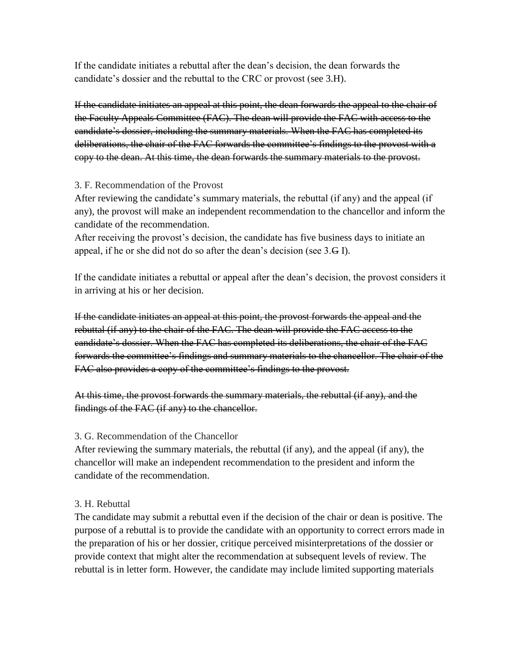If the candidate initiates a rebuttal after the dean's decision, the dean forwards the candidate's dossier and the rebuttal to the CRC or provost (see 3.H).

If the candidate initiates an appeal at this point, the dean forwards the appeal to the chair of the Faculty Appeals Committee (FAC). The dean will provide the FAC with access to the candidate's dossier, including the summary materials. When the FAC has completed its deliberations, the chair of the FAC forwards the committee's findings to the provost with a copy to the dean. At this time, the dean forwards the summary materials to the provost.

#### 3. F. Recommendation of the Provost

After reviewing the candidate's summary materials, the rebuttal (if any) and the appeal (if any), the provost will make an independent recommendation to the chancellor and inform the candidate of the recommendation.

After receiving the provost's decision, the candidate has five business days to initiate an appeal, if he or she did not do so after the dean's decision (see 3.G I).

If the candidate initiates a rebuttal or appeal after the dean's decision, the provost considers it in arriving at his or her decision.

If the candidate initiates an appeal at this point, the provost forwards the appeal and the rebuttal (if any) to the chair of the FAC. The dean will provide the FAC access to the candidate's dossier. When the FAC has completed its deliberations, the chair of the FAC forwards the committee's findings and summary materials to the chancellor. The chair of the FAC also provides a copy of the committee's findings to the provost.

At this time, the provost forwards the summary materials, the rebuttal (if any), and the findings of the FAC (if any) to the chancellor.

#### 3. G. Recommendation of the Chancellor

After reviewing the summary materials, the rebuttal (if any), and the appeal (if any), the chancellor will make an independent recommendation to the president and inform the candidate of the recommendation.

### 3. H. Rebuttal

The candidate may submit a rebuttal even if the decision of the chair or dean is positive. The purpose of a rebuttal is to provide the candidate with an opportunity to correct errors made in the preparation of his or her dossier, critique perceived misinterpretations of the dossier or provide context that might alter the recommendation at subsequent levels of review. The rebuttal is in letter form. However, the candidate may include limited supporting materials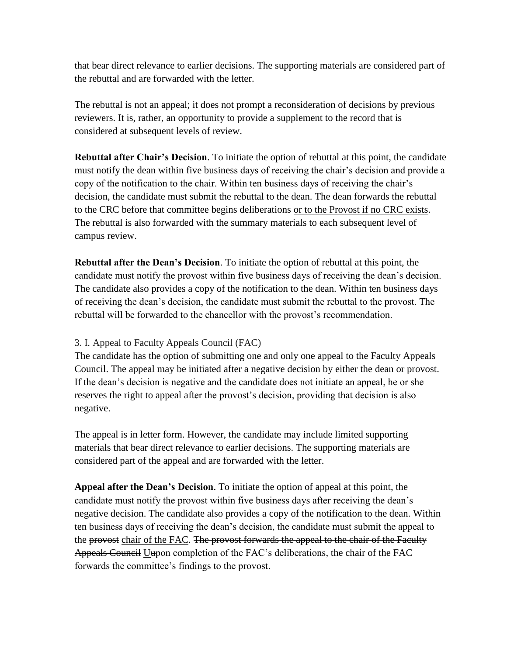that bear direct relevance to earlier decisions. The supporting materials are considered part of the rebuttal and are forwarded with the letter.

The rebuttal is not an appeal; it does not prompt a reconsideration of decisions by previous reviewers. It is, rather, an opportunity to provide a supplement to the record that is considered at subsequent levels of review.

**Rebuttal after Chair's Decision**. To initiate the option of rebuttal at this point, the candidate must notify the dean within five business days of receiving the chair's decision and provide a copy of the notification to the chair. Within ten business days of receiving the chair's decision, the candidate must submit the rebuttal to the dean. The dean forwards the rebuttal to the CRC before that committee begins deliberations or to the Provost if no CRC exists. The rebuttal is also forwarded with the summary materials to each subsequent level of campus review.

**Rebuttal after the Dean's Decision**. To initiate the option of rebuttal at this point, the candidate must notify the provost within five business days of receiving the dean's decision. The candidate also provides a copy of the notification to the dean. Within ten business days of receiving the dean's decision, the candidate must submit the rebuttal to the provost. The rebuttal will be forwarded to the chancellor with the provost's recommendation.

#### 3. I. Appeal to Faculty Appeals Council (FAC)

The candidate has the option of submitting one and only one appeal to the Faculty Appeals Council. The appeal may be initiated after a negative decision by either the dean or provost. If the dean's decision is negative and the candidate does not initiate an appeal, he or she reserves the right to appeal after the provost's decision, providing that decision is also negative.

The appeal is in letter form. However, the candidate may include limited supporting materials that bear direct relevance to earlier decisions. The supporting materials are considered part of the appeal and are forwarded with the letter.

**Appeal after the Dean's Decision**. To initiate the option of appeal at this point, the candidate must notify the provost within five business days after receiving the dean's negative decision. The candidate also provides a copy of the notification to the dean. Within ten business days of receiving the dean's decision, the candidate must submit the appeal to the provost chair of the FAC. The provost forwards the appeal to the chair of the Faculty Appeals Council Uupon completion of the FAC's deliberations, the chair of the FAC forwards the committee's findings to the provost.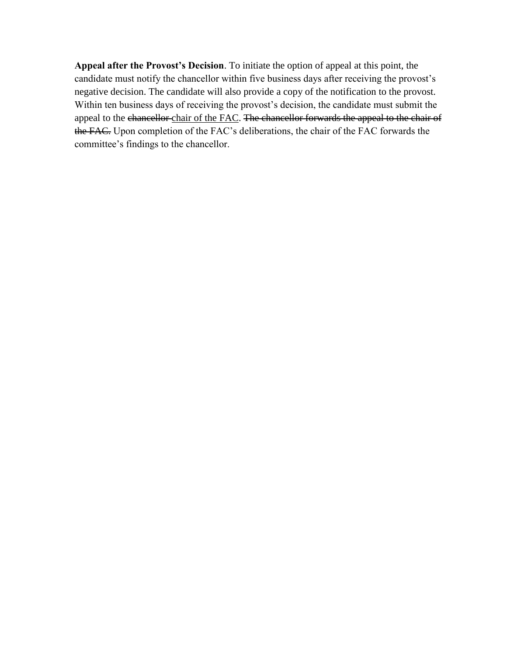**Appeal after the Provost's Decision**. To initiate the option of appeal at this point, the candidate must notify the chancellor within five business days after receiving the provost's negative decision. The candidate will also provide a copy of the notification to the provost. Within ten business days of receiving the provost's decision, the candidate must submit the appeal to the chancellor chair of the FAC. The chancellor forwards the appeal to the chair of the FAC. Upon completion of the FAC's deliberations, the chair of the FAC forwards the committee's findings to the chancellor.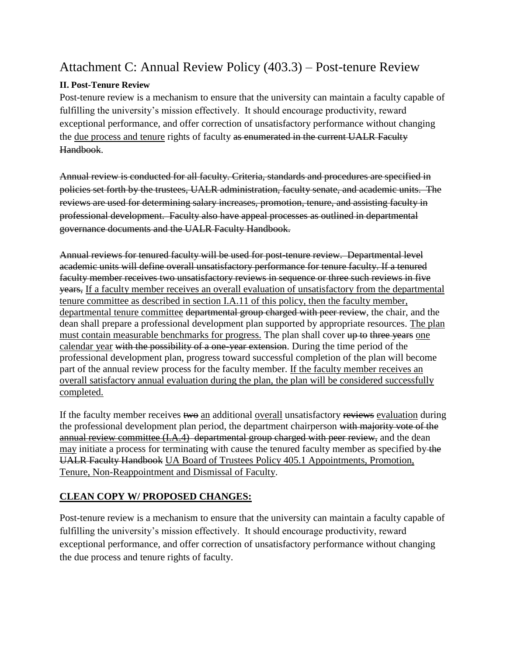# Attachment C: Annual Review Policy (403.3) – Post-tenure Review

### **II. Post-Tenure Review**

Post-tenure review is a mechanism to ensure that the university can maintain a faculty capable of fulfilling the university's mission effectively. It should encourage productivity, reward exceptional performance, and offer correction of unsatisfactory performance without changing the due process and tenure rights of faculty as enumerated in the current UALR Faculty Handbook.

Annual review is conducted for all faculty. Criteria, standards and procedures are specified in policies set forth by the trustees, UALR administration, faculty senate, and academic units. The reviews are used for determining salary increases, promotion, tenure, and assisting faculty in professional development. Faculty also have appeal processes as outlined in departmental governance documents and the UALR Faculty Handbook.

Annual reviews for tenured faculty will be used for post-tenure review. Departmental level academic units will define overall unsatisfactory performance for tenure faculty. If a tenured faculty member receives two unsatisfactory reviews in sequence or three such reviews in five years, If a faculty member receives an overall evaluation of unsatisfactory from the departmental tenure committee as described in section I.A.11 of this policy, then the faculty member, departmental tenure committee departmental group charged with peer review, the chair, and the dean shall prepare a professional development plan supported by appropriate resources. The plan must contain measurable benchmarks for progress. The plan shall cover up to three years one calendar year with the possibility of a one-year extension. During the time period of the professional development plan, progress toward successful completion of the plan will become part of the annual review process for the faculty member. If the faculty member receives an overall satisfactory annual evaluation during the plan, the plan will be considered successfully completed.

If the faculty member receives two an additional overall unsatisfactory reviews evaluation during the professional development plan period, the department chairperson with majority vote of the annual review committee (I.A.4) departmental group charged with peer review, and the dean may initiate a process for terminating with cause the tenured faculty member as specified by the UALR Faculty Handbook UA Board of Trustees Policy 405.1 Appointments, Promotion, Tenure, Non-Reappointment and Dismissal of Faculty.

### **CLEAN COPY W/ PROPOSED CHANGES:**

Post-tenure review is a mechanism to ensure that the university can maintain a faculty capable of fulfilling the university's mission effectively. It should encourage productivity, reward exceptional performance, and offer correction of unsatisfactory performance without changing the due process and tenure rights of faculty.